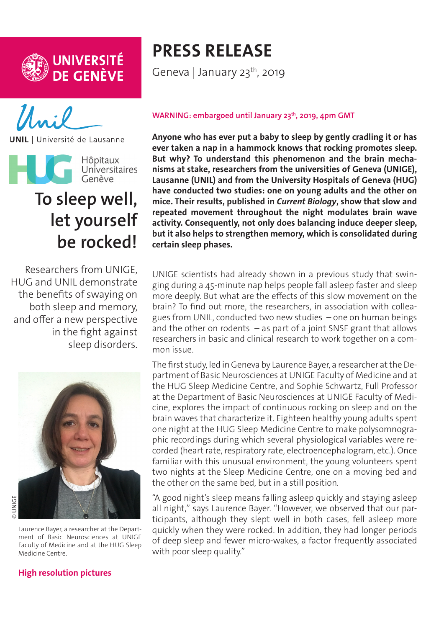



**UNIL** | Université de Lausanne



# **To sleep well, let yourself be rocked!**

Researchers from UNIGE, HUG and UNIL demonstrate the benefits of swaying on both sleep and memory, and offer a new perspective in the fight against sleep disorders.



Laurence Bayer, a researcher at the Department of Basic Neurosciences at UNIGE Faculty of Medicine and at the HUG Sleep Medicine Centre.

#### **[High resolution pictures](https://phototheque.unige.ch/documents/facets?newFacet=mot.cle.marc%3DCdP_190123_Bayer&clearFacets=1)**

## **PRESS RELEASE**

Geneva | January 23<sup>th</sup>, 2019

#### **WARNING: embargoed until January 23th, 2019, 4pm GMT**

**Anyone who has ever put a baby to sleep by gently cradling it or has ever taken a nap in a hammock knows that rocking promotes sleep. But why? To understand this phenomenon and the brain mechanisms at stake, researchers from the universities of Geneva (UNIGE), Lausanne (UNIL) and from the University Hospitals of Geneva (HUG) have conducted two studies: one on young adults and the other on mice. Their results, published in** *Current Biology***, show that slow and repeated movement throughout the night modulates brain wave activity. Consequently, not only does balancing induce deeper sleep, but it also helps to strengthen memory, which is consolidated during certain sleep phases.**

UNIGE scientists had already shown in a previous study that swinging during a 45-minute nap helps people fall asleep faster and sleep more deeply. But what are the effects of this slow movement on the brain? To find out more, the researchers, in association with colleagues from UNIL, conducted two new studies – one on human beings and the other on rodents  $-$  as part of a joint SNSF grant that allows researchers in basic and clinical research to work together on a common issue.

The first study, led in Geneva by Laurence Bayer, a researcher at the Department of Basic Neurosciences at UNIGE Faculty of Medicine and at the HUG Sleep Medicine Centre, and Sophie Schwartz, Full Professor at the Department of Basic Neurosciences at UNIGE Faculty of Medicine, explores the impact of continuous rocking on sleep and on the brain waves that characterize it. Eighteen healthy young adults spent one night at the HUG Sleep Medicine Centre to make polysomnographic recordings during which several physiological variables were recorded (heart rate, respiratory rate, electroencephalogram, etc.). Once familiar with this unusual environment, the young volunteers spent two nights at the Sleep Medicine Centre, one on a moving bed and the other on the same bed, but in a still position.

"A good night's sleep means falling asleep quickly and staying asleep all night," says Laurence Bayer. "However, we observed that our participants, although they slept well in both cases, fell asleep more quickly when they were rocked. In addition, they had longer periods of deep sleep and fewer micro-wakes, a factor frequently associated with poor sleep quality."